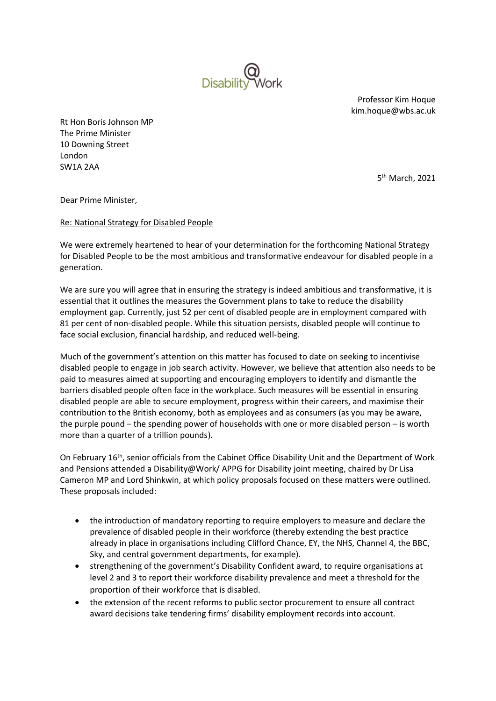

Professor Kim Hoque kim.hoque@wbs.ac.uk

Rt Hon Boris Johnson MP The Prime Minister 10 Downing Street London SW1A 2AA

5 th March, 2021

Dear Prime Minister,

## Re: National Strategy for Disabled People

We were extremely heartened to hear of your determination for the forthcoming National Strategy for Disabled People to be the most ambitious and transformative endeavour for disabled people in a generation.

We are sure you will agree that in ensuring the strategy is indeed ambitious and transformative, it is essential that it outlines the measures the Government plans to take to reduce the disability employment gap. Currently, just 52 per cent of disabled people are in employment compared with 81 per cent of non-disabled people. While this situation persists, disabled people will continue to face social exclusion, financial hardship, and reduced well-being.

Much of the government's attention on this matter has focused to date on seeking to incentivise disabled people to engage in job search activity. However, we believe that attention also needs to be paid to measures aimed at supporting and encouraging employers to identify and dismantle the barriers disabled people often face in the workplace. Such measures will be essential in ensuring disabled people are able to secure employment, progress within their careers, and maximise their contribution to the British economy, both as employees and as consumers (as you may be aware, the purple pound – the spending power of households with one or more disabled person – is worth more than a quarter of a trillion pounds).

On February 16<sup>th</sup>, senior officials from the Cabinet Office Disability Unit and the Department of Work and Pensions attended a Disability@Work/ APPG for Disability joint meeting, chaired by Dr Lisa Cameron MP and Lord Shinkwin, at which policy proposals focused on these matters were outlined. These proposals included:

- the introduction of mandatory reporting to require employers to measure and declare the prevalence of disabled people in their workforce (thereby extending the best practice already in place in organisations including Clifford Chance, EY, the NHS, Channel 4, the BBC, Sky, and central government departments, for example).
- strengthening of the government's Disability Confident award, to require organisations at level 2 and 3 to report their workforce disability prevalence and meet a threshold for the proportion of their workforce that is disabled.
- the extension of the recent reforms to public sector procurement to ensure all contract award decisions take tendering firms' disability employment records into account.